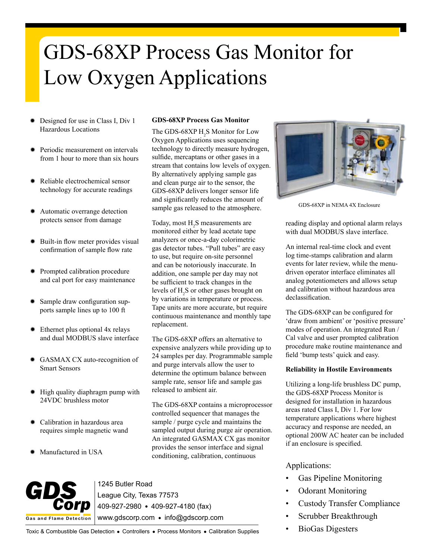## GDS-68XP Process Gas Monitor for Low Oxygen Applications

- Designed for use in Class I, Div 1 Hazardous Locations
- Periodic measurement on intervals from 1 hour to more than six hours
- Reliable electrochemical sensor technology for accurate readings
- ✹ Automatic overrange detection protects sensor from damage
- ✹ Built-in flow meter provides visual confirmation of sample flow rate
- ✹ Prompted calibration procedure and cal port for easy maintenance
- ✹ Sample draw configuration supports sample lines up to 100 ft
- Ethernet plus optional 4x relays and dual MODBUS slave interface
- ✹ GASMAX CX auto-recognition of Smart Sensors
- ✹ High quality diaphragm pump with 24VDC brushless motor
- ✹ Calibration in hazardous area requires simple magnetic wand
- ✹ Manufactured in USA

## **GDS-68XP Process Gas Monitor**

The GDS-68XP  $H_2S$  Monitor for Low Oxygen Applications uses sequencing technology to directly measure hydrogen, sulfide, mercaptans or other gases in a stream that contains low levels of oxygen. By alternatively applying sample gas and clean purge air to the sensor, the GDS-68XP delivers longer sensor life and significantly reduces the amount of sample gas released to the atmosphere.

Today, most  $H_2S$  measurements are monitored either by lead acetate tape analyzers or once-a-day colorimetric gas detector tubes. "Pull tubes" are easy to use, but require on-site personnel and can be notoriously inaccurate. In addition, one sample per day may not be sufficient to track changes in the levels of  $H_2S$  or other gases brought on by variations in temperature or process. Tape units are more accurate, but require continuous maintenance and monthly tape replacement.

The GDS-68XP offers an alternative to expensive analyzers while providing up to 24 samples per day. Programmable sample and purge intervals allow the user to determine the optimum balance between sample rate, sensor life and sample gas released to ambient air.

The GDS-68XP contains a microprocessor controlled sequencer that manages the sample / purge cycle and maintains the sampled output during purge air operation. An integrated GASMAX CX gas monitor provides the sensor interface and signal conditioning, calibration, continuous



1245 Butler Road League City, Texas 77573 409-927-2980 409-927-4180 (fax) www.gdscorp.com · info@gdscorp.com

Toxic & Combustible Gas Detection . Controllers . Process Monitors . Calibration Supplies



GDS-68XP in NEMA 4X Enclosure

reading display and optional alarm relays with dual MODBUS slave interface.

An internal real-time clock and event log time-stamps calibration and alarm events for later review, while the menudriven operator interface eliminates all analog potentiometers and allows setup and calibration without hazardous area declassification.

The GDS-68XP can be configured for 'draw from ambient' or 'positive pressure' modes of operation. An integrated Run / Cal valve and user prompted calibration procedure make routine maintenance and field 'bump tests' quick and easy.

## **Reliability in Hostile Environments**

Utilizing a long-life brushless DC pump, the GDS-68XP Process Monitor is designed for installation in hazardous areas rated Class I, Div 1. For low temperature applications where highest accuracy and response are needed, an optional 200W AC heater can be included if an enclosure is specified.

## Applications:

- Gas Pipeline Monitoring
- Odorant Monitoring
- Custody Transfer Compliance
- Scrubber Breakthrough
- BioGas Digesters